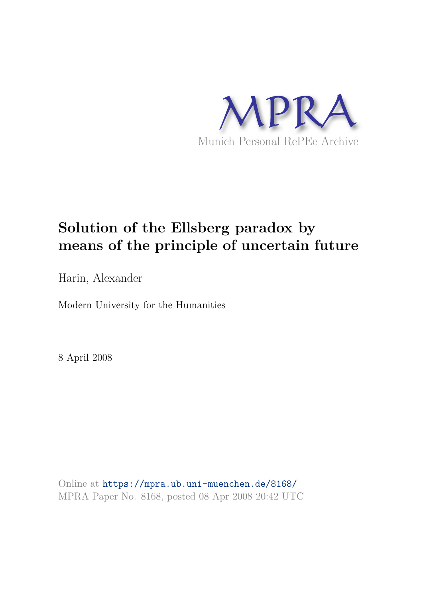

# **Solution of the Ellsberg paradox by means of the principle of uncertain future**

Harin, Alexander

Modern University for the Humanities

8 April 2008

Online at https://mpra.ub.uni-muenchen.de/8168/ MPRA Paper No. 8168, posted 08 Apr 2008 20:42 UTC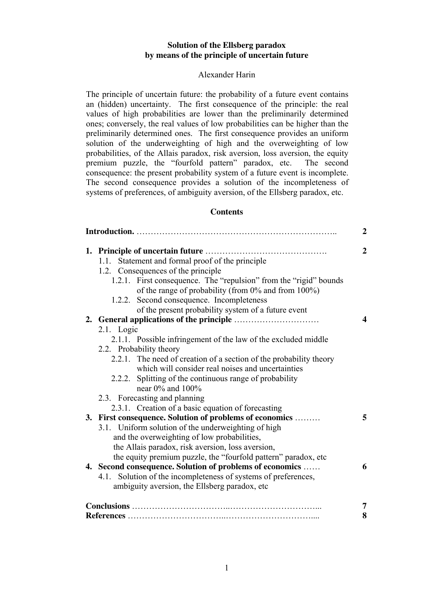## **Solution of the Ellsberg paradox by means of the principle of uncertain future**

## Alexander Harin

The principle of uncertain future: the probability of a future event contains an (hidden) uncertainty. The first consequence of the principle: the real values of high probabilities are lower than the preliminarily determined ones; conversely, the real values of low probabilities can be higher than the preliminarily determined ones. The first consequence provides an uniform solution of the underweighting of high and the overweighting of low probabilities, of the Allais paradox, risk aversion, loss aversion, the equity premium puzzle, the "fourfold pattern" paradox, etc. The second consequence: the present probability system of a future event is incomplete. The second consequence provides a solution of the incompleteness of systems of preferences, of ambiguity aversion, of the Ellsberg paradox, etc.

## **Contents**

| $\boldsymbol{2}$ |                                                                    |                |  |
|------------------|--------------------------------------------------------------------|----------------|--|
|                  |                                                                    | $\overline{2}$ |  |
|                  | 1.1. Statement and formal proof of the principle                   |                |  |
|                  | 1.2. Consequences of the principle                                 |                |  |
|                  | 1.2.1. First consequence. The "repulsion" from the "rigid" bounds  |                |  |
|                  | of the range of probability (from 0% and from 100%)                |                |  |
|                  | 1.2.2. Second consequence. Incompleteness                          |                |  |
|                  | of the present probability system of a future event                |                |  |
|                  |                                                                    | 4              |  |
|                  | 2.1. Logic                                                         |                |  |
|                  | 2.1.1. Possible infringement of the law of the excluded middle     |                |  |
|                  | 2.2. Probability theory                                            |                |  |
|                  | 2.2.1. The need of creation of a section of the probability theory |                |  |
|                  | which will consider real noises and uncertainties                  |                |  |
|                  | 2.2.2. Splitting of the continuous range of probability            |                |  |
|                  | near $0\%$ and $100\%$                                             |                |  |
|                  | 2.3. Forecasting and planning                                      |                |  |
|                  | 2.3.1. Creation of a basic equation of forecasting                 |                |  |
|                  | 3. First consequence. Solution of problems of economics            | 5              |  |
|                  | 3.1. Uniform solution of the underweighting of high                |                |  |
|                  | and the overweighting of low probabilities,                        |                |  |
|                  | the Allais paradox, risk aversion, loss aversion,                  |                |  |
|                  | the equity premium puzzle, the "fourfold pattern" paradox, etc     |                |  |
|                  | 4. Second consequence. Solution of problems of economics           | 6              |  |
|                  | 4.1. Solution of the incompleteness of systems of preferences,     |                |  |
|                  | ambiguity aversion, the Ellsberg paradox, etc                      |                |  |
|                  |                                                                    | 7              |  |
|                  |                                                                    |                |  |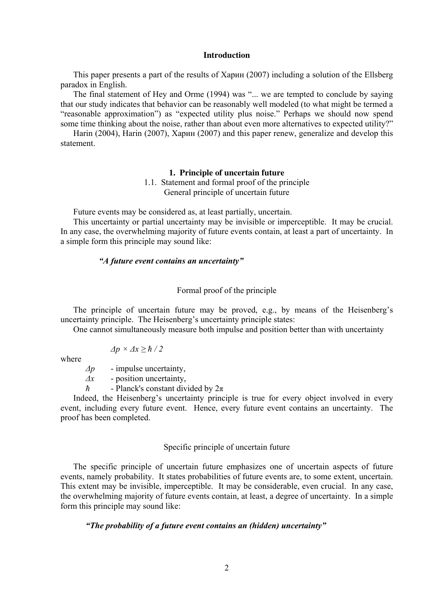#### **Introduction**

This paper presents a part of the results of Харин (2007) including a solution of the Ellsberg paradox in English.

The final statement of Hey and Orme (1994) was "... we are tempted to conclude by saying that our study indicates that behavior can be reasonably well modeled (to what might be termed a "reasonable approximation") as "expected utility plus noise." Perhaps we should now spend some time thinking about the noise, rather than about even more alternatives to expected utility?"

Harin (2004), Harin (2007), Харин (2007) and this paper renew, generalize and develop this statement.

#### **1. Principle of uncertain future**

1.1. Statement and formal proof of the principle General principle of uncertain future

Future events may be considered as, at least partially, uncertain.

This uncertainty or partial uncertainty may be invisible or imperceptible. It may be crucial. In any case, the overwhelming majority of future events contain, at least a part of uncertainty. In a simple form this principle may sound like:

## *"A future event contains an uncertainty"*

#### Formal proof of the principle

The principle of uncertain future may be proved, e.g., by means of the Heisenberg's uncertainty principle. The Heisenberg's uncertainty principle states:

One cannot simultaneously measure both impulse and position better than with uncertainty

$$
\Delta p \times \Delta x \ge \hbar / 2
$$

where

*∆p* - impulse uncertainty,

*∆x* - position uncertainty,

*ћ* - Planck's constant divided by 2π

Indeed, the Heisenberg's uncertainty principle is true for every object involved in every event, including every future event. Hence, every future event contains an uncertainty. The proof has been completed.

#### Specific principle of uncertain future

The specific principle of uncertain future emphasizes one of uncertain aspects of future events, namely probability. It states probabilities of future events are, to some extent, uncertain. This extent may be invisible, imperceptible. It may be considerable, even crucial. In any case, the overwhelming majority of future events contain, at least, a degree of uncertainty. In a simple form this principle may sound like:

## *"The probability of a future event contains an (hidden) uncertainty"*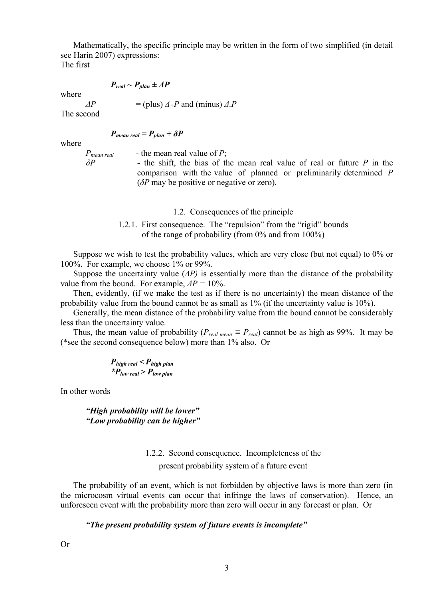Mathematically, the specific principle may be written in the form of two simplified (in detail see Harin 2007) expressions:

The first

$$
P_{real} \sim P_{plan} \pm \Delta P
$$

where

 $\Delta P$  = (plus)  $\Delta + P$  and (minus)  $\Delta P$ 

The second

$$
P_{mean\ real} = P_{plan} + \delta P
$$

where

 $P_{mean real}$  - the mean real value of *P*;<br> $\delta P$  - the shift, the bias of the

*z* the shift, the bias of the mean real value of real or future *P* in the comparison with the value of planned or preliminarily determined *P* (*δP* may be positive or negative or zero).

- 1.2. Consequences of the principle
- 1.2.1. First consequence. The "repulsion" from the "rigid" bounds of the range of probability (from 0% and from 100%)

Suppose we wish to test the probability values, which are very close (but not equal) to 0% or 100%. For example, we choose 1% or 99%.

Suppose the uncertainty value (*∆P)* is essentially more than the distance of the probability value from the bound. For example, *∆P =* 10%.

Then, evidently, (if we make the test as if there is no uncertainty) the mean distance of the probability value from the bound cannot be as small as 1% (if the uncertainty value is 10%).

Generally, the mean distance of the probability value from the bound cannot be considerably less than the uncertainty value.

Thus, the mean value of probability ( $P_{real \, mean} \equiv P_{real}$ ) cannot be as high as 99%. It may be (\*see the second consequence below) more than 1% also. Or

$$
P_{high\ real} < P_{high\ plan}
$$
\n
$$
{}^{*}P_{low\ real} > P_{low\ plan}
$$

In other words

*"High probability will be lower" "Low probability can be higher"* 

## 1.2.2. Second consequence. Incompleteness of the present probability system of a future event

The probability of an event, which is not forbidden by objective laws is more than zero (in the microcosm virtual events can occur that infringe the laws of conservation). Hence, an unforeseen event with the probability more than zero will occur in any forecast or plan. Or

## *"The present probability system of future events is incomplete"*

Or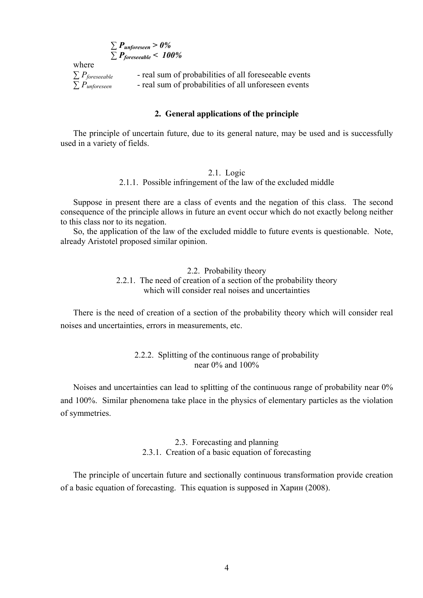*∑ Punforeseen > 0% ∑ Pforeseeable < 100%* 

where

*∑ P<sub>foreseeable* - real sum of probabilities of all foreseeable events <br>∑ *P<sub>unforeseen</sub>* - real sum of probabilities of all unforeseen events</sub> *∑ Punforeseen* - real sum of probabilities of all unforeseen events

## **2. General applications of the principle**

The principle of uncertain future, due to its general nature, may be used and is successfully used in a variety of fields.

#### 2.1. Logic

2.1.1. Possible infringement of the law of the excluded middle

Suppose in present there are a class of events and the negation of this class. The second consequence of the principle allows in future an event occur which do not exactly belong neither to this class nor to its negation.

So, the application of the law of the excluded middle to future events is questionable. Note, already Aristotel proposed similar opinion.

> 2.2. Probability theory 2.2.1. The need of creation of a section of the probability theory which will consider real noises and uncertainties

There is the need of creation of a section of the probability theory which will consider real noises and uncertainties, errors in measurements, etc.

## 2.2.2. Splitting of the continuous range of probability near 0% and 100%

Noises and uncertainties can lead to splitting of the continuous range of probability near 0% and 100%. Similar phenomena take place in the physics of elementary particles as the violation of symmetries.

## 2.3. Forecasting and planning 2.3.1. Creation of a basic equation of forecasting

The principle of uncertain future and sectionally continuous transformation provide creation of a basic equation of forecasting. This equation is supposed in Харин (2008).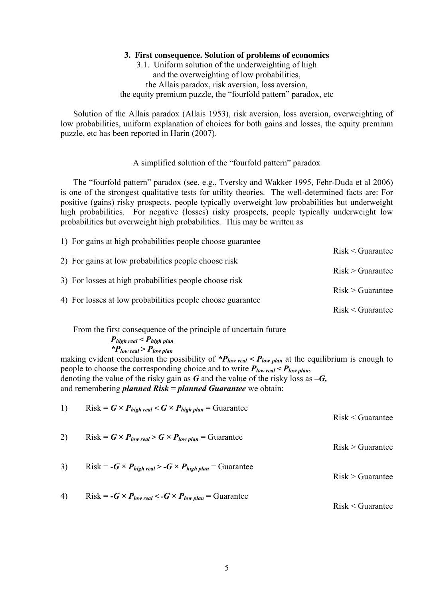#### **3. First consequence. Solution of problems of economics**

## 3.1. Uniform solution of the underweighting of high and the overweighting of low probabilities, the Allais paradox, risk aversion, loss aversion, the equity premium puzzle, the "fourfold pattern" paradox, etc

Solution of the Allais paradox (Allais 1953), risk aversion, loss aversion, overweighting of low probabilities, uniform explanation of choices for both gains and losses, the equity premium puzzle, etc has been reported in Harin (2007).

## A simplified solution of the "fourfold pattern" paradox

The "fourfold pattern" paradox (see, e.g., Tversky and Wakker 1995, Fehr-Duda et al 2006) is one of the strongest qualitative tests for utility theories. The well-determined facts are: For positive (gains) risky prospects, people typically overweight low probabilities but underweight high probabilities. For negative (losses) risky prospects, people typically underweight low probabilities but overweight high probabilities. This may be written as

| 1) For gains at high probabilities people choose guarantee |                                      |  |
|------------------------------------------------------------|--------------------------------------|--|
|                                                            | $Risk <$ Guarantee                   |  |
| 2) For gains at low probabilities people choose risk       |                                      |  |
|                                                            | Risk > Guarantee<br>Risk > Guarantee |  |
| 3) For losses at high probabilities people choose risk     |                                      |  |
| 4) For losses at low probabilities people choose guarantee |                                      |  |
|                                                            | $Risk <$ Guarantee                   |  |

From the first consequence of the principle of uncertain future

$$
P_{high\ real} < P_{high\ plan}
$$
\n
$$
{}^{*}P_{low\ real} > P_{low\ plan}
$$

making evident conclusion the possibility of  $P_{low\ real}$  <  $P_{low\ plan}$  at the equilibrium is enough to people to choose the corresponding choice and to write *Plow real < Plow plan*, denoting the value of the risky gain as *G* and the value of the risky loss as *–G,* and remembering *planned Risk = planned Guarantee* we obtain:

1) Risk = 
$$
G \times P_{high\ real} < G \times P_{high\ plan} = \text{Guarantee}
$$

\n2) Risk =  $G \times P_{low\ real} > G \times P_{low\ plan} = \text{Guarantee}$ 

\n3) Risk =  $-G \times P_{high\ real} > -G \times P_{high\ plan} = \text{Guarantee}$ 

\n4) Risk =  $-G \times P_{low\ real} < -G \times P_{low\ plan} = \text{Guarantee}$ 

\n5) Risk =  $-G \times P_{low\ real} < -G \times P_{low\ plan} = \text{Guarantee}$ 

\n6) List the total number of values in the following details.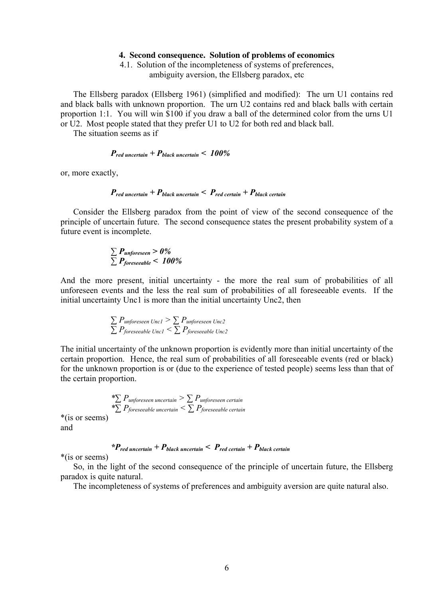#### **4. Second consequence. Solution of problems of economics**

4.1. Solution of the incompleteness of systems of preferences, ambiguity aversion, the Ellsberg paradox, etc

The Ellsberg paradox (Ellsberg 1961) (simplified and modified): The urn U1 contains red and black balls with unknown proportion. The urn U2 contains red and black balls with certain proportion 1:1. You will win \$100 if you draw a ball of the determined color from the urns U1 or U2. Most people stated that they prefer U1 to U2 for both red and black ball.

The situation seems as if

## *Pred uncertain + Pblack uncertain < 100%*

or, more exactly,

$$
P_{red\ uncertainty} + P_{black\ uncertainty} < P_{red\ certain} + P_{black\ certain}
$$

Consider the Ellsberg paradox from the point of view of the second consequence of the principle of uncertain future. The second consequence states the present probability system of a future event is incomplete.

$$
\sum P_{unforeseen} > 0\%
$$
  

$$
\sum P_{foreseeable} < 100\%
$$

And the more present, initial uncertainty - the more the real sum of probabilities of all unforeseen events and the less the real sum of probabilities of all foreseeable events. If the initial uncertainty Unc1 is more than the initial uncertainty Unc2, then

$$
\sum P_{unforeseen\ Uncl} > \sum P_{unforeseen\ Unc2}
$$
  

$$
\sum P_{foreseeable\ Uncl} < \sum P_{foreseeable\ Unc2}
$$

The initial uncertainty of the unknown proportion is evidently more than initial uncertainty of the certain proportion. Hence, the real sum of probabilities of all foreseeable events (red or black) for the unknown proportion is or (due to the experience of tested people) seems less than that of the certain proportion.

$$
\sum_{i} P_{\text{unforeseen uncertain}} > \sum_{\text{nonforeseen certain}} P_{\text{foreseeable uncertain}} \\
\sum_{\text{1}} P_{\text{foreseeable certain}} < \sum_{\text{1}} P_{\text{foreseeable certain}}
$$

\*(is or seems) and

## *\*Pred uncertain + Pblack uncertain < Pred certain + Pblack certain*

\*(is or seems)

So, in the light of the second consequence of the principle of uncertain future, the Ellsberg paradox is quite natural.

The incompleteness of systems of preferences and ambiguity aversion are quite natural also.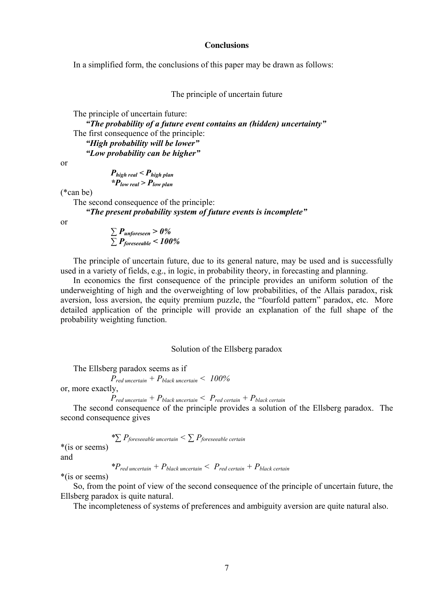#### **Conclusions**

In a simplified form, the conclusions of this paper may be drawn as follows:

The principle of uncertain future

The principle of uncertain future:

*"The probability of a future event contains an (hidden) uncertainty"*  The first consequence of the principle: *"High probability will be lower" "Low probability can be higher"* 

or

$$
P_{high\ real} < P_{high\ plan}
$$
\n
$$
{}^{*}P_{low\ real} > P_{low\ plan}
$$

(\*can be)

The second consequence of the principle:

*"The present probability system of future events is incomplete"* 

or

$$
\sum P_{unforeseen} > 0\%
$$
  

$$
\sum P_{foreseeable} < 100\%
$$

The principle of uncertain future, due to its general nature, may be used and is successfully used in a variety of fields, e.g., in logic, in probability theory, in forecasting and planning.

In economics the first consequence of the principle provides an uniform solution of the underweighting of high and the overweighting of low probabilities, of the Allais paradox, risk aversion, loss aversion, the equity premium puzzle, the "fourfold pattern" paradox, etc. More detailed application of the principle will provide an explanation of the full shape of the probability weighting function.

Solution of the Ellsberg paradox

The Ellsberg paradox seems as if

*Pred uncertain + Pblack uncertain < 100%* or, more exactly,

$$
P_{red\ uncertainty} + P_{black\ uncertainty} < P_{red\ certain} + P_{black\ certain}
$$

The second consequence of the principle provides a solution of the Ellsberg paradox. The second consequence gives

$$
\sum_{i=1}^{n} P_{\text{foreseeable uncertain}} < \sum_{i=1}^{n} P_{\text{foreseeable certain}}
$$

and

$$
*P_{red\text{ uncertain}} + P_{\text{black uncertain}} < P_{\text{red certain}} + P_{\text{black certain}}
$$

\*(is or seems)

So, from the point of view of the second consequence of the principle of uncertain future, the Ellsberg paradox is quite natural.

The incompleteness of systems of preferences and ambiguity aversion are quite natural also.